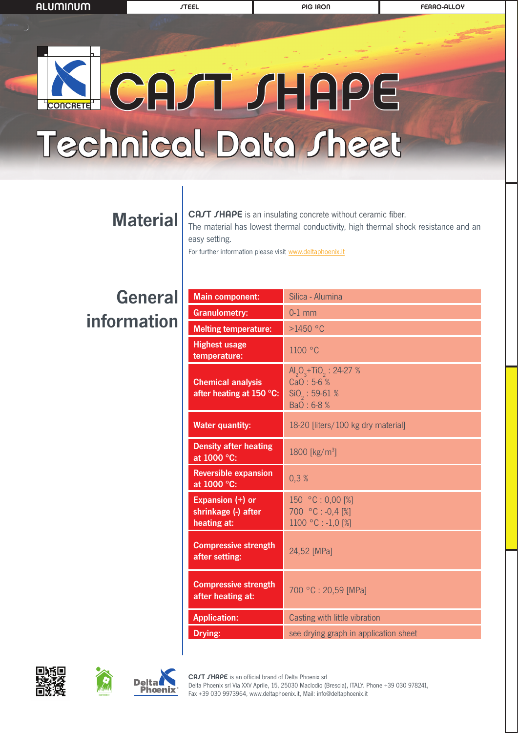## CAST SHAPE Technical Data Sheet **CONCRETE**

### **Material**

CAJT JHAPE is an insulating concrete without ceramic fiber. The material has lowest thermal conductivity, high thermal shock resistance and an easy setting.

For further information please visit www.deltaphoenix.it

### General information

| <b>Main component:</b>                                 | Silica - Alumina                                                    |
|--------------------------------------------------------|---------------------------------------------------------------------|
| <b>Granulometry:</b>                                   | $0-1$ mm                                                            |
| <b>Melting temperature:</b>                            | $>1450$ °C                                                          |
| <b>Highest usage</b><br>temperature:                   | 1100 °C                                                             |
| <b>Chemical analysis</b><br>after heating at 150 °C:   | $AI2O3+TiO2: 24-27 %$<br>CaO: 5-6 %<br>$SiO2: 59-61 %$<br>BaO: 6-8% |
| <b>Water quantity:</b>                                 | 18-20 [liters/100 kg dry material]                                  |
| <b>Density after heating</b><br>at 1000 °C:            | 1800 [kg/m <sup>3</sup> ]                                           |
| <b>Reversible expansion</b><br>at 1000 °C:             | 0,3%                                                                |
| Expansion (+) or<br>shrinkage (-) after<br>heating at: | 150 °C: 0,00 [%]<br>700 °C: -0,4 [%]<br>1100 °C : -1,0 [%]          |
| <b>Compressive strength</b><br>after setting:          | 24,52 [MPa]                                                         |
| <b>Compressive strength</b><br>after heating at:       | 700 °C: 20,59 [MPa]                                                 |
| <b>Application:</b>                                    | Casting with little vibration                                       |
| Drying:                                                | see drying graph in application sheet                               |



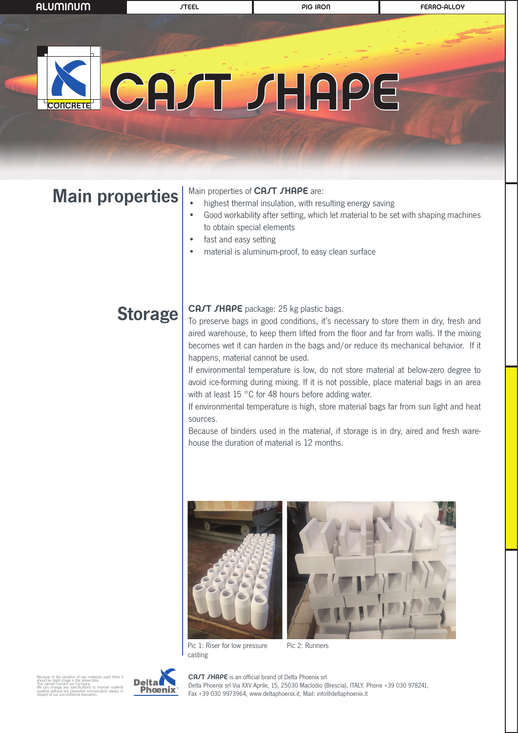## CAST SHAPE **CONCRETE**

### Main properties

#### Main properties of CAJT JHAPE are:

- highest thermal insulation, with resulting energy saving
- Good workability after setting, which let material to be set with shaping machines to obtain special elements
- fast and easy setting
- material is aluminum-proof, to easy clean surface

### **Storage**

#### CAJT JHAPE package: 25 kg plastic bags.

To preserve bags in good conditions, it's necessary to store them in dry, fresh and aired warehouse, to keep them lifted from the floor and far from walls. If the mixing becomes wet it can harden in the bags and/or reduce its mechanical behavior. If it happens, material cannot be used.

If environmental temperature is low, do not store material at below-zero degree to avoid ice-forming during mixing. If it is not possible, place material bags in an area with at least 15 °C for 48 hours before adding water.

If environmental temperature is high, store material bags far from sun light and heat sources.

Because of binders used in the material, if storage is in dry, aired and fresh warehouse the duration of material is 12 months.



Pic 1: Riser for low pressure casting Pic 2: Runners

Because of the variation of raw materials used there it shoud be slight chage in the above data. This cannot concern our Company. We can change any specifications to improve material qualities without any preventive comunication always in respect of our unconditional evaluation.



CAJT JHAPE is an official brand of Delta Phoenix srl Delta Phoenix srl Via XXV Aprile, 15, 25030 Maclodio (Brescia), ITALY. Phone +39 030 978241, Fax +39 030 9973964, www.deltaphoenix.it, Mail: info@deltaphoenix.it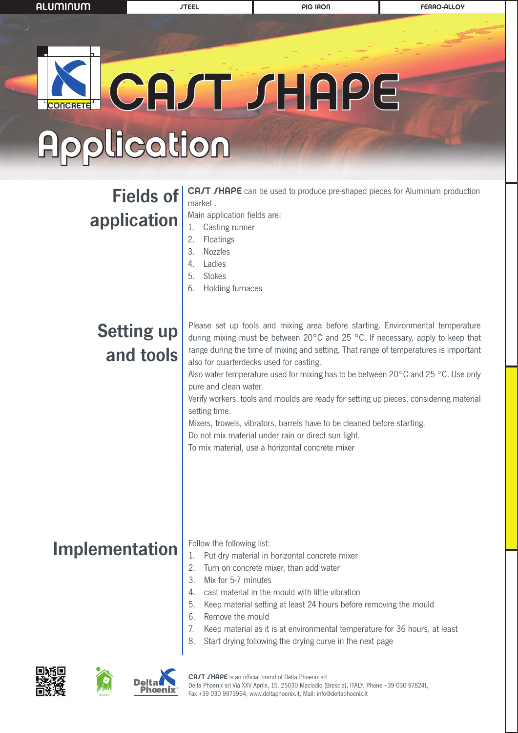# CAST SHAPE **CONCRETE**

# Application

### Fields of application

**CAJT JHAPE** can be used to produce pre-shaped pieces for Aluminum production market .

Main application fields are:

- 1. Casting runner
- 2. Floatings
- 3. Nozzles
- 4. Ladles
- 5. Stokes
- 6. Holding furnaces

### Setting up and tools

Please set up tools and mixing area before starting. Environmental temperature during mixing must be between 20°C and 25 °C. If necessary, apply to keep that range during the time of mixing and setting. That range of temperatures is important also for quarterdecks used for casting.

Also water temperature used for mixing has to be between 20°C and 25 °C. Use only pure and clean water.

Verify workers, tools and moulds are ready for setting up pieces, considering material setting time.

Mixers, trowels, vibrators, barrels have to be cleaned before starting.

Do not mix material under rain or direct sun light.

To mix material, use a horizontal concrete mixer

### Implementation

Follow the following list:

- 1. Put dry material in horizontal concrete mixer
- 2. Turn on concrete mixer, than add water
- 3. Mix for 5-7 minutes
- 4. cast material in the mould with little vibration
- 5. Keep material setting at least 24 hours before removing the mould
- 6. Remove the mould
- 7. Keep material as it is at environmental temperature for 36 hours, at least
- 8. Start drying following the drying curve in the next page





CAJT JHAPE is an official brand of Delta Phoenix srl Delta Phoenix srl Via XXV Aprile, 15, 25030 Maclodio (Brescia), ITALY. Phone +39 030 978241, **Phoenix** Fax +39 030 9973964, www.deltaphoenix.it, Mail: info@deltaphoenix.it